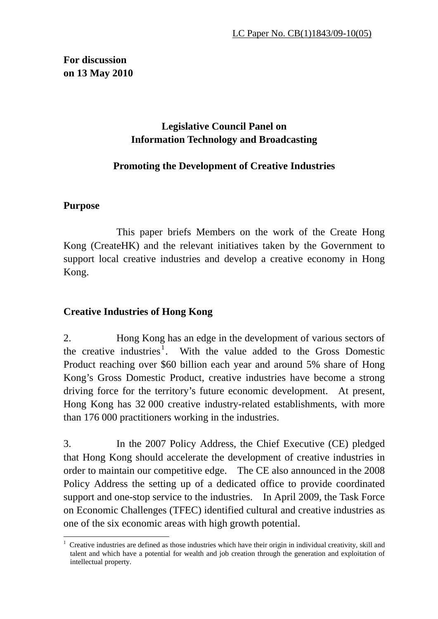## **For discussion on 13 May 2010**

## **Legislative Council Panel on Information Technology and Broadcasting**

## **Promoting the Development of Creative Industries**

## **Purpose**

 This paper briefs Members on the work of the Create Hong Kong (CreateHK) and the relevant initiatives taken by the Government to support local creative industries and develop a creative economy in Hong Kong.

## **Creative Industries of Hong Kong**

2. Hong Kong has an edge in the development of various sectors of the creative industries<sup>1</sup>. With the value added to the Gross Domestic Product reaching over \$60 billion each year and around 5% share of Hong Kong's Gross Domestic Product, creative industries have become a strong driving force for the territory's future economic development. At present, Hong Kong has 32 000 creative industry-related establishments, with more than 176 000 practitioners working in the industries.

3. In the 2007 Policy Address, the Chief Executive (CE) pledged that Hong Kong should accelerate the development of creative industries in order to maintain our competitive edge. The CE also announced in the 2008 Policy Address the setting up of a dedicated office to provide coordinated support and one-stop service to the industries. In April 2009, the Task Force on Economic Challenges (TFEC) identified cultural and creative industries as one of the six economic areas with high growth potential.

 $\overline{a}$ 1 Creative industries are defined as those industries which have their origin in individual creativity, skill and talent and which have a potential for wealth and job creation through the generation and exploitation of intellectual property.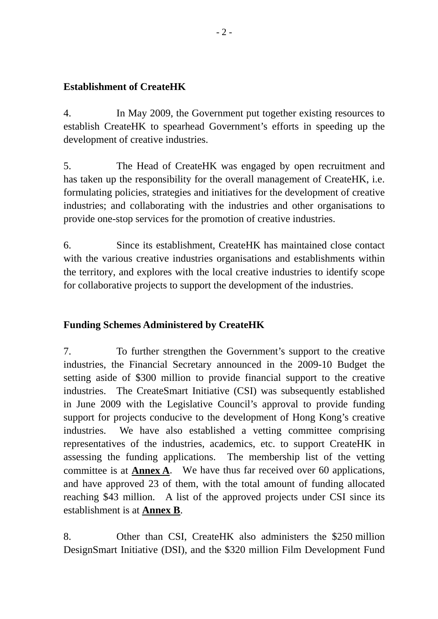### **Establishment of CreateHK**

4. In May 2009, the Government put together existing resources to establish CreateHK to spearhead Government's efforts in speeding up the development of creative industries.

5. The Head of CreateHK was engaged by open recruitment and has taken up the responsibility for the overall management of CreateHK, i.e. formulating policies, strategies and initiatives for the development of creative industries; and collaborating with the industries and other organisations to provide one-stop services for the promotion of creative industries.

6. Since its establishment, CreateHK has maintained close contact with the various creative industries organisations and establishments within the territory, and explores with the local creative industries to identify scope for collaborative projects to support the development of the industries.

## **Funding Schemes Administered by CreateHK**

7. To further strengthen the Government's support to the creative industries, the Financial Secretary announced in the 2009-10 Budget the setting aside of \$300 million to provide financial support to the creative industries. The CreateSmart Initiative (CSI) was subsequently established in June 2009 with the Legislative Council's approval to provide funding support for projects conducive to the development of Hong Kong's creative industries. We have also established a vetting committee comprising representatives of the industries, academics, etc. to support CreateHK in assessing the funding applications. The membership list of the vetting committee is at **Annex A**. We have thus far received over 60 applications, and have approved 23 of them, with the total amount of funding allocated reaching \$43 million. A list of the approved projects under CSI since its establishment is at **Annex B**.

8. Other than CSI, CreateHK also administers the \$250 million DesignSmart Initiative (DSI), and the \$320 million Film Development Fund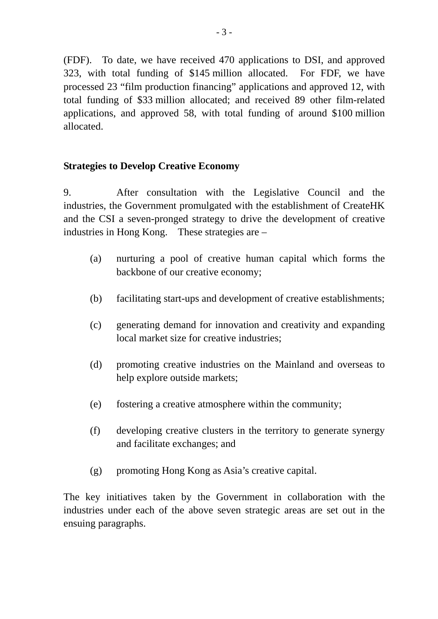(FDF). To date, we have received 470 applications to DSI, and approved 323, with total funding of \$145 million allocated. For FDF, we have processed 23 "film production financing" applications and approved 12, with total funding of \$33 million allocated; and received 89 other film-related applications, and approved 58, with total funding of around \$100 million allocated.

#### **Strategies to Develop Creative Economy**

9. After consultation with the Legislative Council and the industries, the Government promulgated with the establishment of CreateHK and the CSI a seven-pronged strategy to drive the development of creative industries in Hong Kong. These strategies are –

- (a) nurturing a pool of creative human capital which forms the backbone of our creative economy;
- (b) facilitating start-ups and development of creative establishments;
- (c) generating demand for innovation and creativity and expanding local market size for creative industries;
- (d) promoting creative industries on the Mainland and overseas to help explore outside markets;
- (e) fostering a creative atmosphere within the community;
- (f) developing creative clusters in the territory to generate synergy and facilitate exchanges; and
- (g) promoting Hong Kong as Asia's creative capital.

The key initiatives taken by the Government in collaboration with the industries under each of the above seven strategic areas are set out in the ensuing paragraphs.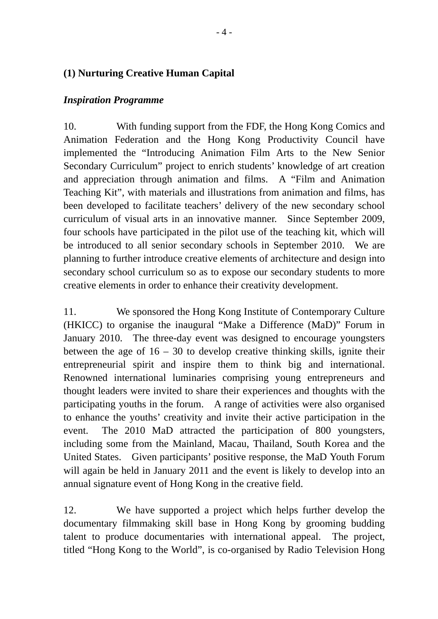## **(1) Nurturing Creative Human Capital**

#### *Inspiration Programme*

10. With funding support from the FDF, the Hong Kong Comics and Animation Federation and the Hong Kong Productivity Council have implemented the "Introducing Animation Film Arts to the New Senior Secondary Curriculum" project to enrich students' knowledge of art creation and appreciation through animation and films. A "Film and Animation Teaching Kit", with materials and illustrations from animation and films, has been developed to facilitate teachers' delivery of the new secondary school curriculum of visual arts in an innovative manner. Since September 2009, four schools have participated in the pilot use of the teaching kit, which will be introduced to all senior secondary schools in September 2010. We are planning to further introduce creative elements of architecture and design into secondary school curriculum so as to expose our secondary students to more creative elements in order to enhance their creativity development.

11. We sponsored the Hong Kong Institute of Contemporary Culture (HKICC) to organise the inaugural "Make a Difference (MaD)" Forum in January 2010. The three-day event was designed to encourage youngsters between the age of  $16 - 30$  to develop creative thinking skills, ignite their entrepreneurial spirit and inspire them to think big and international. Renowned international luminaries comprising young entrepreneurs and thought leaders were invited to share their experiences and thoughts with the participating youths in the forum. A range of activities were also organised to enhance the youths' creativity and invite their active participation in the event. The 2010 MaD attracted the participation of 800 youngsters, including some from the Mainland, Macau, Thailand, South Korea and the United States. Given participants' positive response, the MaD Youth Forum will again be held in January 2011 and the event is likely to develop into an annual signature event of Hong Kong in the creative field.

12. We have supported a project which helps further develop the documentary filmmaking skill base in Hong Kong by grooming budding talent to produce documentaries with international appeal. The project, titled "Hong Kong to the World", is co-organised by Radio Television Hong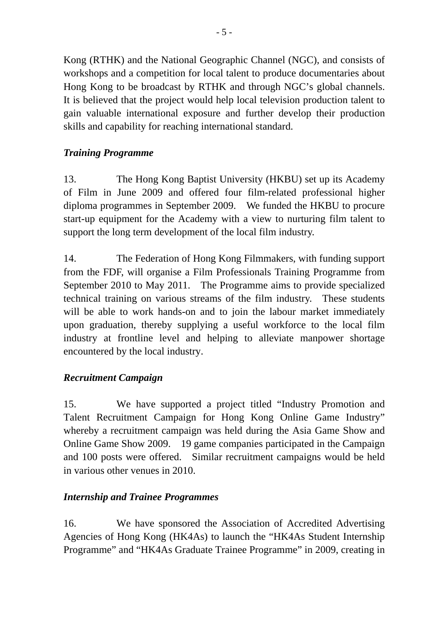Kong (RTHK) and the National Geographic Channel (NGC), and consists of workshops and a competition for local talent to produce documentaries about Hong Kong to be broadcast by RTHK and through NGC's global channels. It is believed that the project would help local television production talent to gain valuable international exposure and further develop their production skills and capability for reaching international standard.

## *Training Programme*

13. The Hong Kong Baptist University (HKBU) set up its Academy of Film in June 2009 and offered four film-related professional higher diploma programmes in September 2009. We funded the HKBU to procure start-up equipment for the Academy with a view to nurturing film talent to support the long term development of the local film industry.

14. The Federation of Hong Kong Filmmakers, with funding support from the FDF, will organise a Film Professionals Training Programme from September 2010 to May 2011. The Programme aims to provide specialized technical training on various streams of the film industry. These students will be able to work hands-on and to join the labour market immediately upon graduation, thereby supplying a useful workforce to the local film industry at frontline level and helping to alleviate manpower shortage encountered by the local industry.

## *Recruitment Campaign*

15. We have supported a project titled "Industry Promotion and Talent Recruitment Campaign for Hong Kong Online Game Industry" whereby a recruitment campaign was held during the Asia Game Show and Online Game Show 2009. 19 game companies participated in the Campaign and 100 posts were offered. Similar recruitment campaigns would be held in various other venues in 2010.

## *Internship and Trainee Programmes*

16. We have sponsored the Association of Accredited Advertising Agencies of Hong Kong (HK4As) to launch the "HK4As Student Internship Programme" and "HK4As Graduate Trainee Programme" in 2009, creating in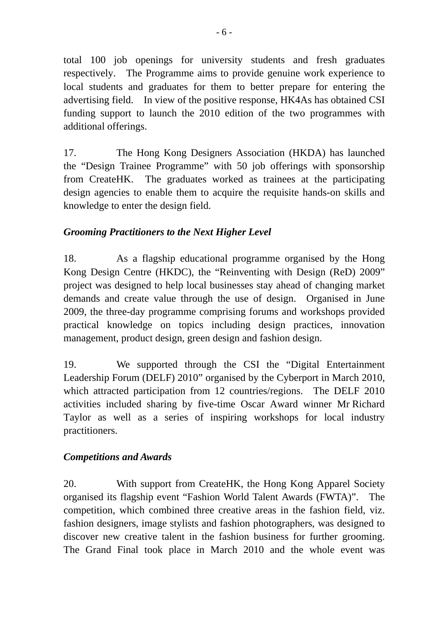total 100 job openings for university students and fresh graduates respectively. The Programme aims to provide genuine work experience to local students and graduates for them to better prepare for entering the advertising field. In view of the positive response, HK4As has obtained CSI funding support to launch the 2010 edition of the two programmes with additional offerings.

17. The Hong Kong Designers Association (HKDA) has launched the "Design Trainee Programme" with 50 job offerings with sponsorship from CreateHK. The graduates worked as trainees at the participating design agencies to enable them to acquire the requisite hands-on skills and knowledge to enter the design field.

## *Grooming Practitioners to the Next Higher Level*

18. As a flagship educational programme organised by the Hong Kong Design Centre (HKDC), the "Reinventing with Design (ReD) 2009" project was designed to help local businesses stay ahead of changing market demands and create value through the use of design. Organised in June 2009, the three-day programme comprising forums and workshops provided practical knowledge on topics including design practices, innovation management, product design, green design and fashion design.

19. We supported through the CSI the "Digital Entertainment Leadership Forum (DELF) 2010" organised by the Cyberport in March 2010, which attracted participation from 12 countries/regions. The DELF 2010 activities included sharing by five-time Oscar Award winner Mr Richard Taylor as well as a series of inspiring workshops for local industry practitioners.

## *Competitions and Awards*

20. With support from CreateHK, the Hong Kong Apparel Society organised its flagship event "Fashion World Talent Awards (FWTA)". The competition, which combined three creative areas in the fashion field, viz. fashion designers, image stylists and fashion photographers, was designed to discover new creative talent in the fashion business for further grooming. The Grand Final took place in March 2010 and the whole event was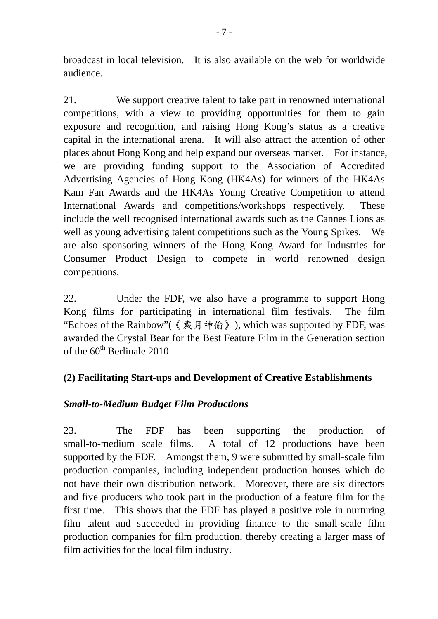broadcast in local television. It is also available on the web for worldwide audience.

21. We support creative talent to take part in renowned international competitions, with a view to providing opportunities for them to gain exposure and recognition, and raising Hong Kong's status as a creative capital in the international arena. It will also attract the attention of other places about Hong Kong and help expand our overseas market. For instance, we are providing funding support to the Association of Accredited Advertising Agencies of Hong Kong (HK4As) for winners of the HK4As Kam Fan Awards and the HK4As Young Creative Competition to attend International Awards and competitions/workshops respectively. These include the well recognised international awards such as the Cannes Lions as well as young advertising talent competitions such as the Young Spikes. We are also sponsoring winners of the Hong Kong Award for Industries for Consumer Product Design to compete in world renowned design competitions.

22. Under the FDF, we also have a programme to support Hong Kong films for participating in international film festivals. The film "Echoes of the Rainbow"(《歲月神偷》), which was supported by FDF, was awarded the Crystal Bear for the Best Feature Film in the Generation section of the  $60^{th}$  Berlinale 2010.

## **(2) Facilitating Start-ups and Development of Creative Establishments**

## *Small-to-Medium Budget Film Productions*

23. The FDF has been supporting the production of small-to-medium scale films. A total of 12 productions have been supported by the FDF. Amongst them, 9 were submitted by small-scale film production companies, including independent production houses which do not have their own distribution network. Moreover, there are six directors and five producers who took part in the production of a feature film for the first time. This shows that the FDF has played a positive role in nurturing film talent and succeeded in providing finance to the small-scale film production companies for film production, thereby creating a larger mass of film activities for the local film industry.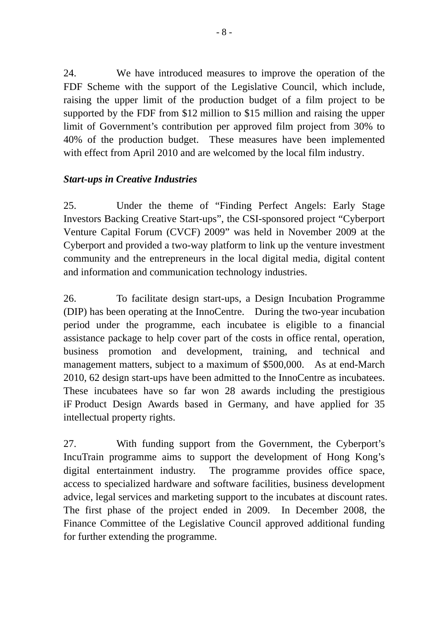24. We have introduced measures to improve the operation of the FDF Scheme with the support of the Legislative Council, which include, raising the upper limit of the production budget of a film project to be supported by the FDF from \$12 million to \$15 million and raising the upper limit of Government's contribution per approved film project from 30% to 40% of the production budget. These measures have been implemented with effect from April 2010 and are welcomed by the local film industry.

## *Start-ups in Creative Industries*

25. Under the theme of "Finding Perfect Angels: Early Stage Investors Backing Creative Start-ups", the CSI-sponsored project "Cyberport Venture Capital Forum (CVCF) 2009" was held in November 2009 at the Cyberport and provided a two-way platform to link up the venture investment community and the entrepreneurs in the local digital media, digital content and information and communication technology industries.

26. To facilitate design start-ups, a Design Incubation Programme (DIP) has been operating at the InnoCentre. During the two-year incubation period under the programme, each incubatee is eligible to a financial assistance package to help cover part of the costs in office rental, operation, business promotion and development, training, and technical and management matters, subject to a maximum of \$500,000. As at end-March 2010, 62 design start-ups have been admitted to the InnoCentre as incubatees. These incubatees have so far won 28 awards including the prestigious iF Product Design Awards based in Germany, and have applied for 35 intellectual property rights.

27. With funding support from the Government, the Cyberport's IncuTrain programme aims to support the development of Hong Kong's digital entertainment industry. The programme provides office space, access to specialized hardware and software facilities, business development advice, legal services and marketing support to the incubates at discount rates. The first phase of the project ended in 2009. In December 2008, the Finance Committee of the Legislative Council approved additional funding for further extending the programme.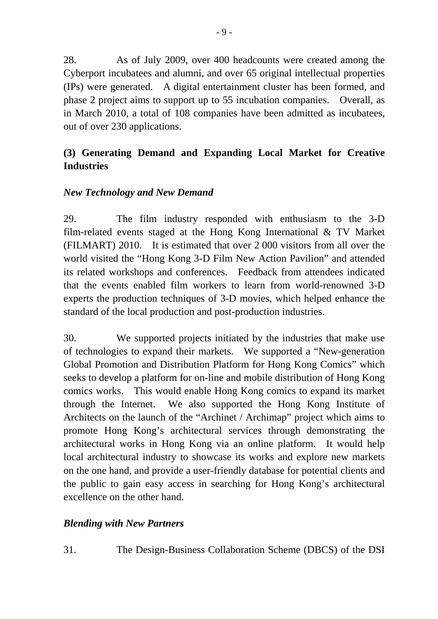28. As of July 2009, over 400 headcounts were created among the Cyberport incubatees and alumni, and over 65 original intellectual properties (IPs) were generated. A digital entertainment cluster has been formed, and phase 2 project aims to support up to 55 incubation companies. Overall, as in March 2010, a total of 108 companies have been admitted as incubatees, out of over 230 applications.

## **(3) Generating Demand and Expanding Local Market for Creative Industries**

### *New Technology and New Demand*

29. The film industry responded with enthusiasm to the 3-D film-related events staged at the Hong Kong International & TV Market (FILMART) 2010. It is estimated that over 2 000 visitors from all over the world visited the "Hong Kong 3-D Film New Action Pavilion" and attended its related workshops and conferences. Feedback from attendees indicated that the events enabled film workers to learn from world-renowned 3-D experts the production techniques of 3-D movies, which helped enhance the standard of the local production and post-production industries.

30. We supported projects initiated by the industries that make use of technologies to expand their markets. We supported a "New-generation Global Promotion and Distribution Platform for Hong Kong Comics" which seeks to develop a platform for on-line and mobile distribution of Hong Kong comics works. This would enable Hong Kong comics to expand its market through the Internet. We also supported the Hong Kong Institute of Architects on the launch of the "Archinet / Archimap" project which aims to promote Hong Kong's architectural services through demonstrating the architectural works in Hong Kong via an online platform. It would help local architectural industry to showcase its works and explore new markets on the one hand, and provide a user-friendly database for potential clients and the public to gain easy access in searching for Hong Kong's architectural excellence on the other hand.

#### *Blending with New Partners*

31. The Design-Business Collaboration Scheme (DBCS) of the DSI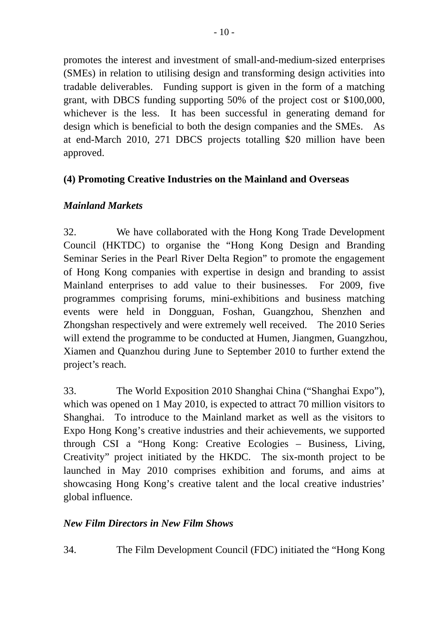promotes the interest and investment of small-and-medium-sized enterprises (SMEs) in relation to utilising design and transforming design activities into tradable deliverables. Funding support is given in the form of a matching grant, with DBCS funding supporting 50% of the project cost or \$100,000, whichever is the less. It has been successful in generating demand for design which is beneficial to both the design companies and the SMEs. As at end-March 2010, 271 DBCS projects totalling \$20 million have been

## **(4) Promoting Creative Industries on the Mainland and Overseas**

## *Mainland Markets*

approved.

32. We have collaborated with the Hong Kong Trade Development Council (HKTDC) to organise the "Hong Kong Design and Branding Seminar Series in the Pearl River Delta Region" to promote the engagement of Hong Kong companies with expertise in design and branding to assist Mainland enterprises to add value to their businesses. For 2009, five programmes comprising forums, mini-exhibitions and business matching events were held in Dongguan, Foshan, Guangzhou, Shenzhen and Zhongshan respectively and were extremely well received. The 2010 Series will extend the programme to be conducted at Humen, Jiangmen, Guangzhou, Xiamen and Quanzhou during June to September 2010 to further extend the project's reach.

33. The World Exposition 2010 Shanghai China ("Shanghai Expo"), which was opened on 1 May 2010, is expected to attract 70 million visitors to Shanghai. To introduce to the Mainland market as well as the visitors to Expo Hong Kong's creative industries and their achievements, we supported through CSI a "Hong Kong: Creative Ecologies – Business, Living, Creativity" project initiated by the HKDC. The six-month project to be launched in May 2010 comprises exhibition and forums, and aims at showcasing Hong Kong's creative talent and the local creative industries' global influence.

#### *New Film Directors in New Film Shows*

34. The Film Development Council (FDC) initiated the "Hong Kong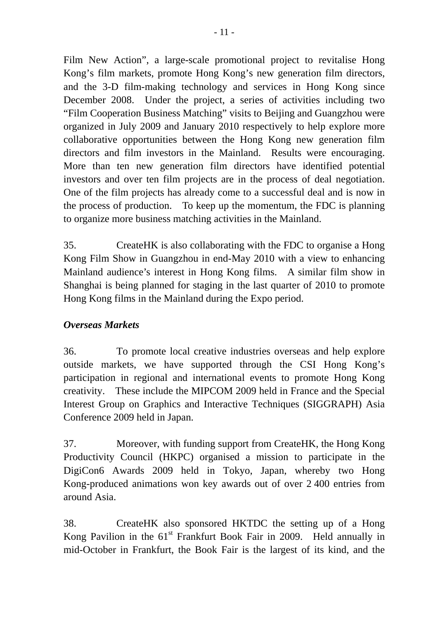Film New Action", a large-scale promotional project to revitalise Hong Kong's film markets, promote Hong Kong's new generation film directors, and the 3-D film-making technology and services in Hong Kong since December 2008. Under the project, a series of activities including two "Film Cooperation Business Matching" visits to Beijing and Guangzhou were organized in July 2009 and January 2010 respectively to help explore more collaborative opportunities between the Hong Kong new generation film directors and film investors in the Mainland. Results were encouraging. More than ten new generation film directors have identified potential investors and over ten film projects are in the process of deal negotiation. One of the film projects has already come to a successful deal and is now in the process of production. To keep up the momentum, the FDC is planning to organize more business matching activities in the Mainland.

35. CreateHK is also collaborating with the FDC to organise a Hong Kong Film Show in Guangzhou in end-May 2010 with a view to enhancing Mainland audience's interest in Hong Kong films. A similar film show in Shanghai is being planned for staging in the last quarter of 2010 to promote Hong Kong films in the Mainland during the Expo period.

## *Overseas Markets*

36. To promote local creative industries overseas and help explore outside markets, we have supported through the CSI Hong Kong's participation in regional and international events to promote Hong Kong creativity. These include the MIPCOM 2009 held in France and the Special Interest Group on Graphics and Interactive Techniques (SIGGRAPH) Asia Conference 2009 held in Japan.

37. Moreover, with funding support from CreateHK, the Hong Kong Productivity Council (HKPC) organised a mission to participate in the DigiCon6 Awards 2009 held in Tokyo, Japan, whereby two Hong Kong-produced animations won key awards out of over 2 400 entries from around Asia.

38. CreateHK also sponsored HKTDC the setting up of a Hong Kong Pavilion in the  $61<sup>st</sup>$  Frankfurt Book Fair in 2009. Held annually in mid-October in Frankfurt, the Book Fair is the largest of its kind, and the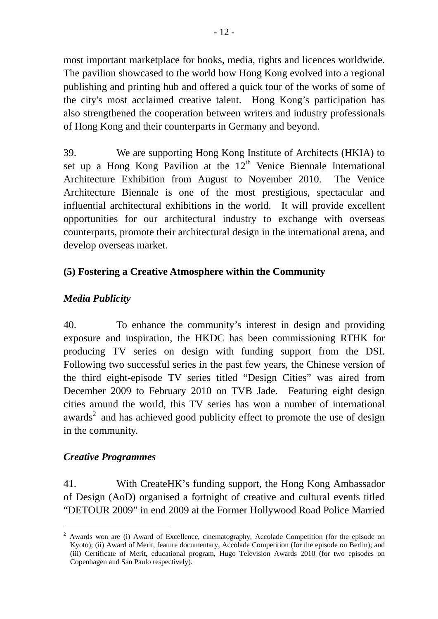most important marketplace for books, media, rights and licences worldwide. The pavilion showcased to the world how Hong Kong evolved into a regional publishing and printing hub and offered a quick tour of the works of some of the city's most acclaimed creative talent. Hong Kong's participation has also strengthened the cooperation between writers and industry professionals of Hong Kong and their counterparts in Germany and beyond.

39. We are supporting Hong Kong Institute of Architects (HKIA) to set up a Hong Kong Pavilion at the  $12<sup>th</sup>$  Venice Biennale International Architecture Exhibition from August to November 2010. The Venice Architecture Biennale is one of the most prestigious, spectacular and influential architectural exhibitions in the world. It will provide excellent opportunities for our architectural industry to exchange with overseas counterparts, promote their architectural design in the international arena, and develop overseas market.

## **(5) Fostering a Creative Atmosphere within the Community**

## *Media Publicity*

40. To enhance the community's interest in design and providing exposure and inspiration, the HKDC has been commissioning RTHK for producing TV series on design with funding support from the DSI. Following two successful series in the past few years, the Chinese version of the third eight-episode TV series titled "Design Cities" was aired from December 2009 to February 2010 on TVB Jade. Featuring eight design cities around the world, this TV series has won a number of international awards<sup>2</sup> and has achieved good publicity effect to promote the use of design in the community.

## *Creative Programmes*

41. With CreateHK's funding support, the Hong Kong Ambassador of Design (AoD) organised a fortnight of creative and cultural events titled "DETOUR 2009" in end 2009 at the Former Hollywood Road Police Married

 $\overline{a}$ 2 Awards won are (i) Award of Excellence, cinematography, Accolade Competition (for the episode on Kyoto); (ii) Award of Merit, feature documentary, Accolade Competition (for the episode on Berlin); and (iii) Certificate of Merit, educational program, Hugo Television Awards 2010 (for two episodes on Copenhagen and San Paulo respectively).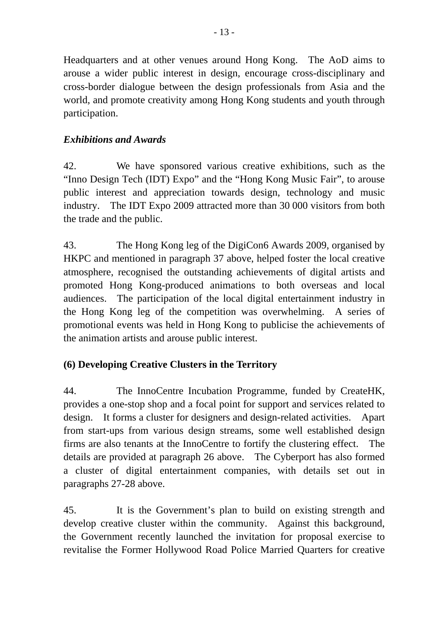Headquarters and at other venues around Hong Kong. The AoD aims to arouse a wider public interest in design, encourage cross-disciplinary and cross-border dialogue between the design professionals from Asia and the world, and promote creativity among Hong Kong students and youth through participation.

## *Exhibitions and Awards*

42. We have sponsored various creative exhibitions, such as the "Inno Design Tech (IDT) Expo" and the "Hong Kong Music Fair", to arouse public interest and appreciation towards design, technology and music industry. The IDT Expo 2009 attracted more than 30 000 visitors from both the trade and the public.

43. The Hong Kong leg of the DigiCon6 Awards 2009, organised by HKPC and mentioned in paragraph 37 above, helped foster the local creative atmosphere, recognised the outstanding achievements of digital artists and promoted Hong Kong-produced animations to both overseas and local audiences. The participation of the local digital entertainment industry in the Hong Kong leg of the competition was overwhelming. A series of promotional events was held in Hong Kong to publicise the achievements of the animation artists and arouse public interest.

# **(6) Developing Creative Clusters in the Territory**

44. The InnoCentre Incubation Programme, funded by CreateHK, provides a one-stop shop and a focal point for support and services related to design. It forms a cluster for designers and design-related activities. Apart from start-ups from various design streams, some well established design firms are also tenants at the InnoCentre to fortify the clustering effect. The details are provided at paragraph 26 above. The Cyberport has also formed a cluster of digital entertainment companies, with details set out in paragraphs 27-28 above.

45. It is the Government's plan to build on existing strength and develop creative cluster within the community. Against this background, the Government recently launched the invitation for proposal exercise to revitalise the Former Hollywood Road Police Married Quarters for creative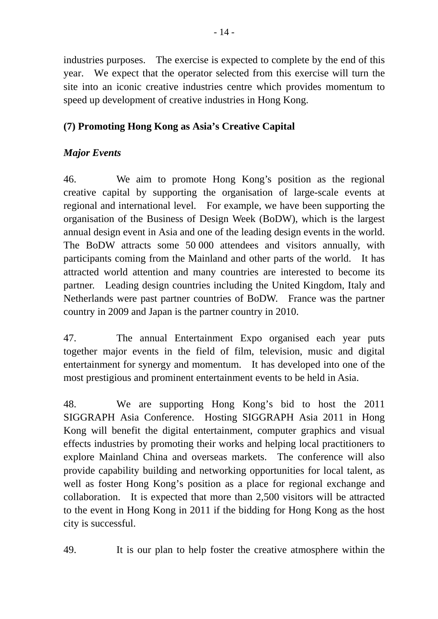industries purposes. The exercise is expected to complete by the end of this year. We expect that the operator selected from this exercise will turn the site into an iconic creative industries centre which provides momentum to speed up development of creative industries in Hong Kong.

## **(7) Promoting Hong Kong as Asia's Creative Capital**

## *Major Events*

46. We aim to promote Hong Kong's position as the regional creative capital by supporting the organisation of large-scale events at regional and international level. For example, we have been supporting the organisation of the Business of Design Week (BoDW), which is the largest annual design event in Asia and one of the leading design events in the world. The BoDW attracts some 50 000 attendees and visitors annually, with participants coming from the Mainland and other parts of the world. It has attracted world attention and many countries are interested to become its partner. Leading design countries including the United Kingdom, Italy and Netherlands were past partner countries of BoDW. France was the partner country in 2009 and Japan is the partner country in 2010.

47. The annual Entertainment Expo organised each year puts together major events in the field of film, television, music and digital entertainment for synergy and momentum. It has developed into one of the most prestigious and prominent entertainment events to be held in Asia.

48. We are supporting Hong Kong's bid to host the 2011 SIGGRAPH Asia Conference. Hosting SIGGRAPH Asia 2011 in Hong Kong will benefit the digital entertainment, computer graphics and visual effects industries by promoting their works and helping local practitioners to explore Mainland China and overseas markets. The conference will also provide capability building and networking opportunities for local talent, as well as foster Hong Kong's position as a place for regional exchange and collaboration. It is expected that more than 2,500 visitors will be attracted to the event in Hong Kong in 2011 if the bidding for Hong Kong as the host city is successful.

49. It is our plan to help foster the creative atmosphere within the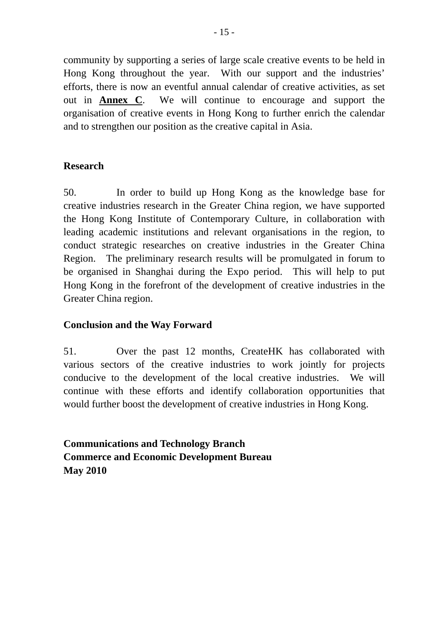community by supporting a series of large scale creative events to be held in Hong Kong throughout the year. With our support and the industries' efforts, there is now an eventful annual calendar of creative activities, as set out in **Annex C**. We will continue to encourage and support the organisation of creative events in Hong Kong to further enrich the calendar and to strengthen our position as the creative capital in Asia.

### **Research**

50. In order to build up Hong Kong as the knowledge base for creative industries research in the Greater China region, we have supported the Hong Kong Institute of Contemporary Culture, in collaboration with leading academic institutions and relevant organisations in the region, to conduct strategic researches on creative industries in the Greater China Region. The preliminary research results will be promulgated in forum to be organised in Shanghai during the Expo period. This will help to put Hong Kong in the forefront of the development of creative industries in the Greater China region.

#### **Conclusion and the Way Forward**

51. Over the past 12 months, CreateHK has collaborated with various sectors of the creative industries to work jointly for projects conducive to the development of the local creative industries. We will continue with these efforts and identify collaboration opportunities that would further boost the development of creative industries in Hong Kong.

**Communications and Technology Branch Commerce and Economic Development Bureau May 2010**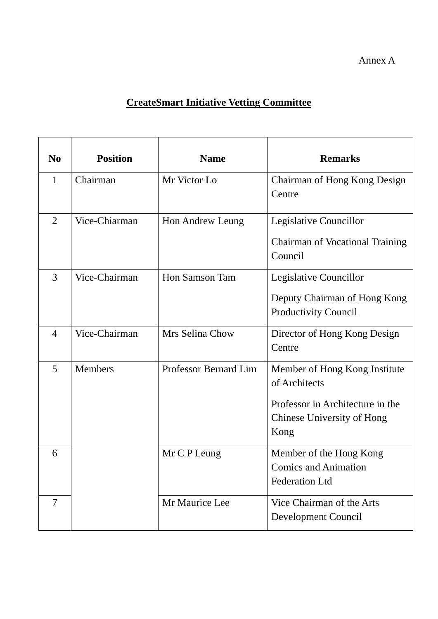### Annex A

# **CreateSmart Initiative Vetting Committee**

| N <sub>0</sub> | <b>Position</b> | <b>Name</b>           | <b>Remarks</b>                                                                                                           |
|----------------|-----------------|-----------------------|--------------------------------------------------------------------------------------------------------------------------|
| $\mathbf{1}$   | Chairman        | Mr Victor Lo          | Chairman of Hong Kong Design<br>Centre                                                                                   |
| $\overline{2}$ | Vice-Chiarman   | Hon Andrew Leung      | Legislative Councillor<br><b>Chairman of Vocational Training</b><br>Council                                              |
| 3              | Vice-Chairman   | Hon Samson Tam        | Legislative Councillor<br>Deputy Chairman of Hong Kong<br><b>Productivity Council</b>                                    |
| $\overline{4}$ | Vice-Chairman   | Mrs Selina Chow       | Director of Hong Kong Design<br>Centre                                                                                   |
| 5              | Members         | Professor Bernard Lim | Member of Hong Kong Institute<br>of Architects<br>Professor in Architecture in the<br>Chinese University of Hong<br>Kong |
| 6              |                 | Mr C P Leung          | Member of the Hong Kong<br><b>Comics and Animation</b><br><b>Federation Ltd</b>                                          |
| $\overline{7}$ |                 | Mr Maurice Lee        | Vice Chairman of the Arts<br>Development Council                                                                         |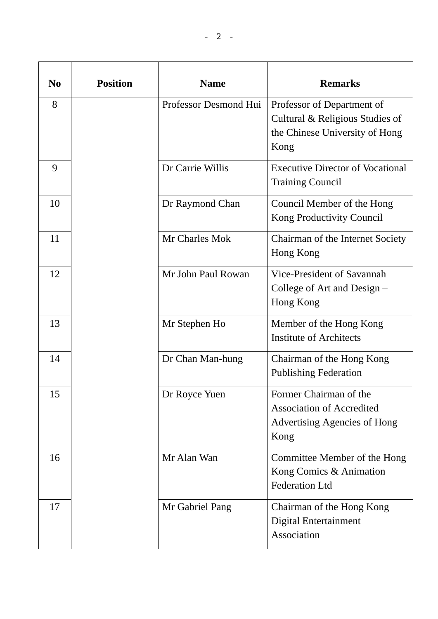| N <sub>0</sub> | <b>Position</b> | <b>Name</b>           | <b>Remarks</b>                                                                                            |
|----------------|-----------------|-----------------------|-----------------------------------------------------------------------------------------------------------|
| 8              |                 | Professor Desmond Hui | Professor of Department of<br>Cultural & Religious Studies of<br>the Chinese University of Hong<br>Kong   |
| 9              |                 | Dr Carrie Willis      | <b>Executive Director of Vocational</b><br><b>Training Council</b>                                        |
| 10             |                 | Dr Raymond Chan       | Council Member of the Hong<br>Kong Productivity Council                                                   |
| 11             |                 | Mr Charles Mok        | Chairman of the Internet Society<br>Hong Kong                                                             |
| 12             |                 | Mr John Paul Rowan    | Vice-President of Savannah<br>College of Art and Design –<br>Hong Kong                                    |
| 13             |                 | Mr Stephen Ho         | Member of the Hong Kong<br><b>Institute of Architects</b>                                                 |
| 14             |                 | Dr Chan Man-hung      | Chairman of the Hong Kong<br><b>Publishing Federation</b>                                                 |
| 15             |                 | Dr Royce Yuen         | Former Chairman of the<br><b>Association of Accredited</b><br><b>Advertising Agencies of Hong</b><br>Kong |
| 16             |                 | Mr Alan Wan           | Committee Member of the Hong<br>Kong Comics & Animation<br><b>Federation Ltd</b>                          |
| 17             |                 | Mr Gabriel Pang       | Chairman of the Hong Kong<br>Digital Entertainment                                                        |

Association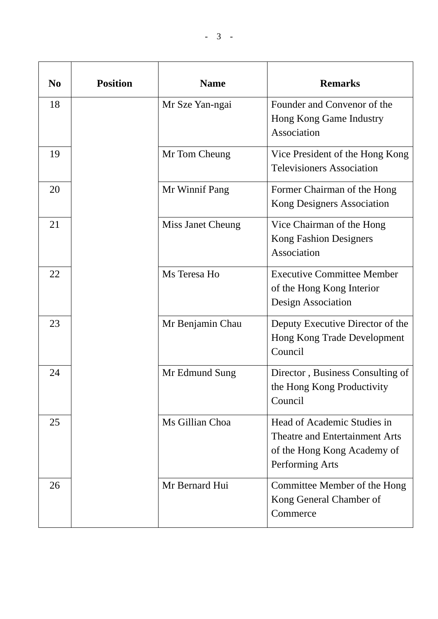| N <sub>0</sub> | <b>Position</b> | <b>Name</b>       | <b>Remarks</b>                                                                                                         |
|----------------|-----------------|-------------------|------------------------------------------------------------------------------------------------------------------------|
| 18             |                 | Mr Sze Yan-ngai   | Founder and Convenor of the<br>Hong Kong Game Industry<br>Association                                                  |
| 19             |                 | Mr Tom Cheung     | Vice President of the Hong Kong<br><b>Televisioners Association</b>                                                    |
| 20             |                 | Mr Winnif Pang    | Former Chairman of the Hong<br>Kong Designers Association                                                              |
| 21             |                 | Miss Janet Cheung | Vice Chairman of the Hong<br><b>Kong Fashion Designers</b><br>Association                                              |
| 22             |                 | Ms Teresa Ho      | <b>Executive Committee Member</b><br>of the Hong Kong Interior<br>Design Association                                   |
| 23             |                 | Mr Benjamin Chau  | Deputy Executive Director of the<br>Hong Kong Trade Development<br>Council                                             |
| 24             |                 | Mr Edmund Sung    | Director, Business Consulting of<br>the Hong Kong Productivity<br>Council                                              |
| 25             |                 | Ms Gillian Choa   | Head of Academic Studies in<br><b>Theatre and Entertainment Arts</b><br>of the Hong Kong Academy of<br>Performing Arts |
| 26             |                 | Mr Bernard Hui    | Committee Member of the Hong<br>Kong General Chamber of<br>Commerce                                                    |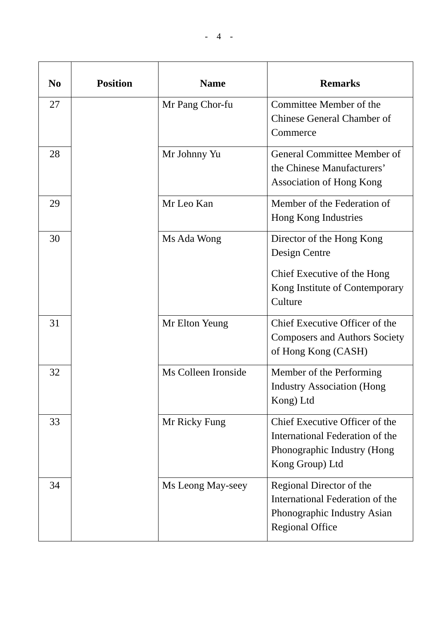|--|

| N <sub>0</sub> | <b>Position</b> | <b>Name</b>         | <b>Remarks</b>                                                                                                         |
|----------------|-----------------|---------------------|------------------------------------------------------------------------------------------------------------------------|
| 27             |                 | Mr Pang Chor-fu     | Committee Member of the<br><b>Chinese General Chamber of</b><br>Commerce                                               |
| 28             |                 | Mr Johnny Yu        | General Committee Member of<br>the Chinese Manufacturers'<br><b>Association of Hong Kong</b>                           |
| 29             |                 | Mr Leo Kan          | Member of the Federation of<br>Hong Kong Industries                                                                    |
| 30             |                 | Ms Ada Wong         | Director of the Hong Kong<br>Design Centre<br>Chief Executive of the Hong<br>Kong Institute of Contemporary<br>Culture |
| 31             |                 | Mr Elton Yeung      | Chief Executive Officer of the<br><b>Composers and Authors Society</b><br>of Hong Kong (CASH)                          |
| 32             |                 | Ms Colleen Ironside | Member of the Performing<br><b>Industry Association (Hong</b><br>Kong) Ltd                                             |
| 33             |                 | Mr Ricky Fung       | Chief Executive Officer of the<br>International Federation of the<br>Phonographic Industry (Hong<br>Kong Group) Ltd    |
| 34             |                 | Ms Leong May-seey   | Regional Director of the<br>International Federation of the<br>Phonographic Industry Asian<br><b>Regional Office</b>   |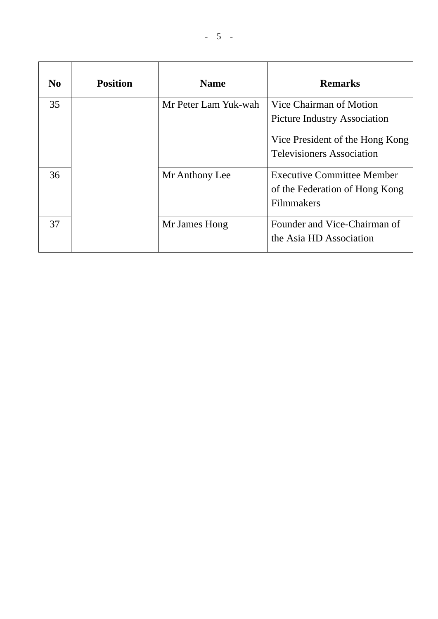| N <sub>0</sub> | <b>Position</b> | <b>Name</b>          | <b>Remarks</b>                                                                                                                        |
|----------------|-----------------|----------------------|---------------------------------------------------------------------------------------------------------------------------------------|
| 35             |                 | Mr Peter Lam Yuk-wah | Vice Chairman of Motion<br><b>Picture Industry Association</b><br>Vice President of the Hong Kong<br><b>Televisioners Association</b> |
| 36             |                 | Mr Anthony Lee       | <b>Executive Committee Member</b><br>of the Federation of Hong Kong<br><b>Filmmakers</b>                                              |
| 37             |                 | Mr James Hong        | Founder and Vice-Chairman of<br>the Asia HD Association                                                                               |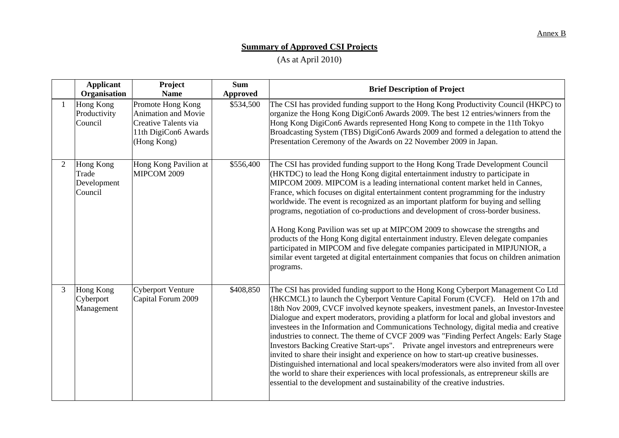## **Summary of Approved CSI Projects**

(As at April 2010)

|                | <b>Applicant</b><br>Organisation                    | Project<br><b>Name</b>                                                                                  | <b>Sum</b><br><b>Approved</b> | <b>Brief Description of Project</b>                                                                                                                                                                                                                                                                                                                                                                                                                                                                                                                                                                                                                                                                                                                                                                                                                                                                                                                                                                      |
|----------------|-----------------------------------------------------|---------------------------------------------------------------------------------------------------------|-------------------------------|----------------------------------------------------------------------------------------------------------------------------------------------------------------------------------------------------------------------------------------------------------------------------------------------------------------------------------------------------------------------------------------------------------------------------------------------------------------------------------------------------------------------------------------------------------------------------------------------------------------------------------------------------------------------------------------------------------------------------------------------------------------------------------------------------------------------------------------------------------------------------------------------------------------------------------------------------------------------------------------------------------|
|                | Hong Kong<br>Productivity<br>Council                | Promote Hong Kong<br>Animation and Movie<br>Creative Talents via<br>11th DigiCon6 Awards<br>(Hong Kong) | \$534,500                     | The CSI has provided funding support to the Hong Kong Productivity Council (HKPC) to<br>organize the Hong Kong DigiCon6 Awards 2009. The best 12 entries/winners from the<br>Hong Kong DigiCon6 Awards represented Hong Kong to compete in the 11th Tokyo<br>Broadcasting System (TBS) DigiCon6 Awards 2009 and formed a delegation to attend the<br>Presentation Ceremony of the Awards on 22 November 2009 in Japan.                                                                                                                                                                                                                                                                                                                                                                                                                                                                                                                                                                                   |
| $\overline{2}$ | <b>Hong Kong</b><br>Trade<br>Development<br>Council | Hong Kong Pavilion at<br>MIPCOM 2009                                                                    | \$556,400                     | The CSI has provided funding support to the Hong Kong Trade Development Council<br>(HKTDC) to lead the Hong Kong digital entertainment industry to participate in<br>MIPCOM 2009. MIPCOM is a leading international content market held in Cannes,<br>France, which focuses on digital entertainment content programming for the industry<br>worldwide. The event is recognized as an important platform for buying and selling<br>programs, negotiation of co-productions and development of cross-border business.<br>A Hong Kong Pavilion was set up at MIPCOM 2009 to showcase the strengths and<br>products of the Hong Kong digital entertainment industry. Eleven delegate companies<br>participated in MIPCOM and five delegate companies participated in MIPJUNIOR, a<br>similar event targeted at digital entertainment companies that focus on children animation<br>programs.                                                                                                                |
| 3              | Hong Kong<br>Cyberport<br>Management                | <b>Cyberport Venture</b><br>Capital Forum 2009                                                          | \$408,850                     | The CSI has provided funding support to the Hong Kong Cyberport Management Co Ltd<br>(HKCMCL) to launch the Cyberport Venture Capital Forum (CVCF). Held on 17th and<br>18th Nov 2009, CVCF involved keynote speakers, investment panels, an Investor-Investee<br>Dialogue and expert moderators, providing a platform for local and global investors and<br>investees in the Information and Communications Technology, digital media and creative<br>industries to connect. The theme of CVCF 2009 was "Finding Perfect Angels: Early Stage<br>Investors Backing Creative Start-ups". Private angel investors and entrepreneurs were<br>invited to share their insight and experience on how to start-up creative businesses.<br>Distinguished international and local speakers/moderators were also invited from all over<br>the world to share their experiences with local professionals, as entrepreneur skills are<br>essential to the development and sustainability of the creative industries. |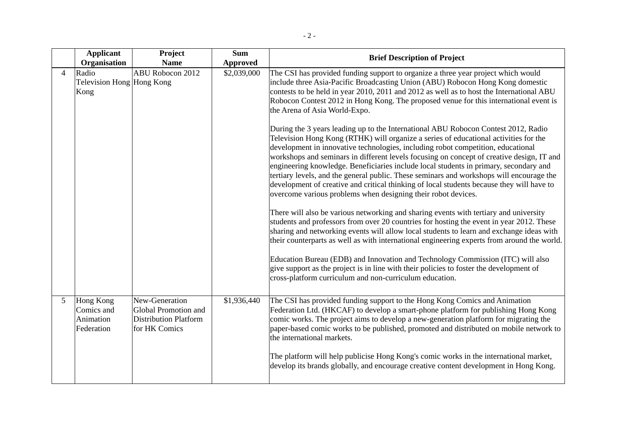|                       | <b>Applicant</b><br>Organisation                          | Project<br><b>Name</b>                                                                  | <b>Sum</b><br><b>Approved</b> | <b>Brief Description of Project</b>                                                                                                                                                                                                                                                                                                                                                                                                                                                                                                                                                                                                                                                                                                                                                                                                                                                                                                                                                                                                                                                                                                                                                                                                                                                                                                                                                                                                                                                                                                                                                                                                                                                                                                  |
|-----------------------|-----------------------------------------------------------|-----------------------------------------------------------------------------------------|-------------------------------|--------------------------------------------------------------------------------------------------------------------------------------------------------------------------------------------------------------------------------------------------------------------------------------------------------------------------------------------------------------------------------------------------------------------------------------------------------------------------------------------------------------------------------------------------------------------------------------------------------------------------------------------------------------------------------------------------------------------------------------------------------------------------------------------------------------------------------------------------------------------------------------------------------------------------------------------------------------------------------------------------------------------------------------------------------------------------------------------------------------------------------------------------------------------------------------------------------------------------------------------------------------------------------------------------------------------------------------------------------------------------------------------------------------------------------------------------------------------------------------------------------------------------------------------------------------------------------------------------------------------------------------------------------------------------------------------------------------------------------------|
| $\boldsymbol{\Delta}$ | Radio<br>Television Hong Hong Kong<br>Kong                | ABU Robocon 2012                                                                        | \$2,039,000                   | The CSI has provided funding support to organize a three year project which would<br>include three Asia-Pacific Broadcasting Union (ABU) Robocon Hong Kong domestic<br>contests to be held in year 2010, 2011 and 2012 as well as to host the International ABU<br>Robocon Contest 2012 in Hong Kong. The proposed venue for this international event is<br>the Arena of Asia World-Expo.<br>During the 3 years leading up to the International ABU Robocon Contest 2012, Radio<br>Television Hong Kong (RTHK) will organize a series of educational activities for the<br>development in innovative technologies, including robot competition, educational<br>workshops and seminars in different levels focusing on concept of creative design, IT and<br>engineering knowledge. Beneficiaries include local students in primary, secondary and<br>tertiary levels, and the general public. These seminars and workshops will encourage the<br>development of creative and critical thinking of local students because they will have to<br>overcome various problems when designing their robot devices.<br>There will also be various networking and sharing events with tertiary and university<br>students and professors from over 20 countries for hosting the event in year 2012. These<br>sharing and networking events will allow local students to learn and exchange ideas with<br>their counterparts as well as with international engineering experts from around the world.<br>Education Bureau (EDB) and Innovation and Technology Commission (ITC) will also<br>give support as the project is in line with their policies to foster the development of<br>cross-platform curriculum and non-curriculum education. |
| 5                     | <b>Hong Kong</b><br>Comics and<br>Animation<br>Federation | New-Generation<br>Global Promotion and<br><b>Distribution Platform</b><br>for HK Comics | \$1,936,440                   | The CSI has provided funding support to the Hong Kong Comics and Animation<br>Federation Ltd. (HKCAF) to develop a smart-phone platform for publishing Hong Kong<br>comic works. The project aims to develop a new-generation platform for migrating the<br>paper-based comic works to be published, promoted and distributed on mobile network to<br>the international markets.<br>The platform will help publicise Hong Kong's comic works in the international market,<br>develop its brands globally, and encourage creative content development in Hong Kong.                                                                                                                                                                                                                                                                                                                                                                                                                                                                                                                                                                                                                                                                                                                                                                                                                                                                                                                                                                                                                                                                                                                                                                   |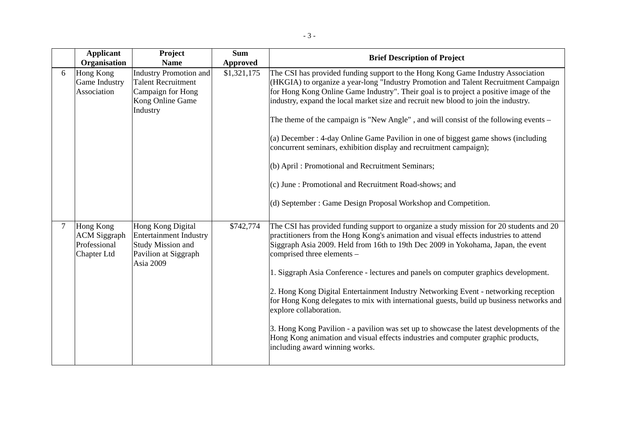|   | <b>Applicant</b><br>Organisation                                       | Project<br><b>Name</b>                                                                                              | <b>Sum</b><br><b>Approved</b> | <b>Brief Description of Project</b>                                                                                                                                                                                                                                                                                                                                                                                                                                                                                                                                                                                                                                                                                                                                                                                      |
|---|------------------------------------------------------------------------|---------------------------------------------------------------------------------------------------------------------|-------------------------------|--------------------------------------------------------------------------------------------------------------------------------------------------------------------------------------------------------------------------------------------------------------------------------------------------------------------------------------------------------------------------------------------------------------------------------------------------------------------------------------------------------------------------------------------------------------------------------------------------------------------------------------------------------------------------------------------------------------------------------------------------------------------------------------------------------------------------|
| 6 | Hong Kong<br>Game Industry<br>Association                              | <b>Industry Promotion and</b><br><b>Talent Recruitment</b><br>Campaign for Hong<br>Kong Online Game<br>Industry     | \$1,321,175                   | The CSI has provided funding support to the Hong Kong Game Industry Association<br>(HKGIA) to organize a year-long "Industry Promotion and Talent Recruitment Campaign<br>for Hong Kong Online Game Industry". Their goal is to project a positive image of the<br>industry, expand the local market size and recruit new blood to join the industry.<br>The theme of the campaign is "New Angle", and will consist of the following events –<br>(a) December : 4-day Online Game Pavilion in one of biggest game shows (including<br>concurrent seminars, exhibition display and recruitment campaign);<br>(b) April: Promotional and Recruitment Seminars;<br>(c) June : Promotional and Recruitment Road-shows; and<br>(d) September: Game Design Proposal Workshop and Competition.                                  |
| 7 | Hong Kong<br><b>ACM</b> Siggraph<br>Professional<br><b>Chapter Ltd</b> | Hong Kong Digital<br><b>Entertainment Industry</b><br><b>Study Mission and</b><br>Pavilion at Siggraph<br>Asia 2009 | \$742,774                     | The CSI has provided funding support to organize a study mission for 20 students and 20<br>practitioners from the Hong Kong's animation and visual effects industries to attend<br>Siggraph Asia 2009. Held from 16th to 19th Dec 2009 in Yokohama, Japan, the event<br>comprised three elements -<br>1. Siggraph Asia Conference - lectures and panels on computer graphics development.<br>2. Hong Kong Digital Entertainment Industry Networking Event - networking reception<br>for Hong Kong delegates to mix with international guests, build up business networks and<br>explore collaboration.<br>3. Hong Kong Pavilion - a pavilion was set up to showcase the latest developments of the<br>Hong Kong animation and visual effects industries and computer graphic products,<br>including award winning works. |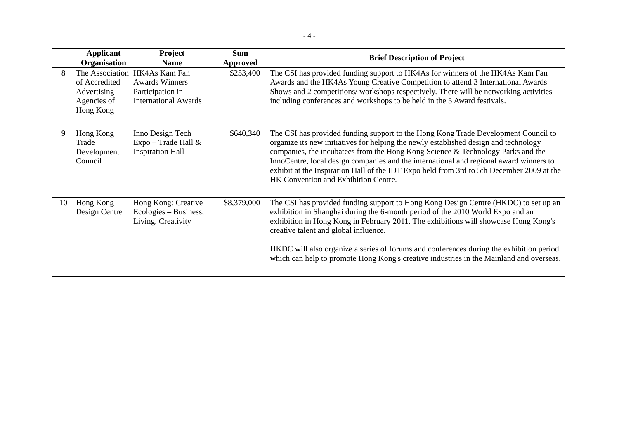|--|

|    | <b>Applicant</b><br>Organisation                         | <b>Project</b><br><b>Name</b>                                                                             | <b>Sum</b><br><b>Approved</b> | <b>Brief Description of Project</b>                                                                                                                                                                                                                                                                                                                                                                                                                                                          |
|----|----------------------------------------------------------|-----------------------------------------------------------------------------------------------------------|-------------------------------|----------------------------------------------------------------------------------------------------------------------------------------------------------------------------------------------------------------------------------------------------------------------------------------------------------------------------------------------------------------------------------------------------------------------------------------------------------------------------------------------|
| 8  | of Accredited<br>Advertising<br>Agencies of<br>Hong Kong | The Association HK4As Kam Fan<br><b>Awards Winners</b><br>Participation in<br><b>International Awards</b> | \$253,400                     | The CSI has provided funding support to HK4As for winners of the HK4As Kam Fan<br>Awards and the HK4As Young Creative Competition to attend 3 International Awards<br>Shows and 2 competitions/workshops respectively. There will be networking activities<br>including conferences and workshops to be held in the 5 Award festivals.                                                                                                                                                       |
| 9  | Hong Kong<br>Trade<br>Development<br>Council             | Inno Design Tech<br>$Expo - Trade Hall &$<br><b>Inspiration Hall</b>                                      | \$640,340                     | The CSI has provided funding support to the Hong Kong Trade Development Council to<br>organize its new initiatives for helping the newly established design and technology<br>companies, the incubatees from the Hong Kong Science & Technology Parks and the<br>InnoCentre, local design companies and the international and regional award winners to<br>exhibit at the Inspiration Hall of the IDT Expo held from 3rd to 5th December 2009 at the<br>HK Convention and Exhibition Centre. |
| 10 | Hong Kong<br>Design Centre                               | Hong Kong: Creative<br>Ecologies – Business,<br>Living, Creativity                                        | \$8,379,000                   | The CSI has provided funding support to Hong Kong Design Centre (HKDC) to set up an<br>exhibition in Shanghai during the 6-month period of the 2010 World Expo and an<br>exhibition in Hong Kong in February 2011. The exhibitions will showcase Hong Kong's<br>creative talent and global influence.<br>HKDC will also organize a series of forums and conferences during the exhibition period<br>which can help to promote Hong Kong's creative industries in the Mainland and overseas.  |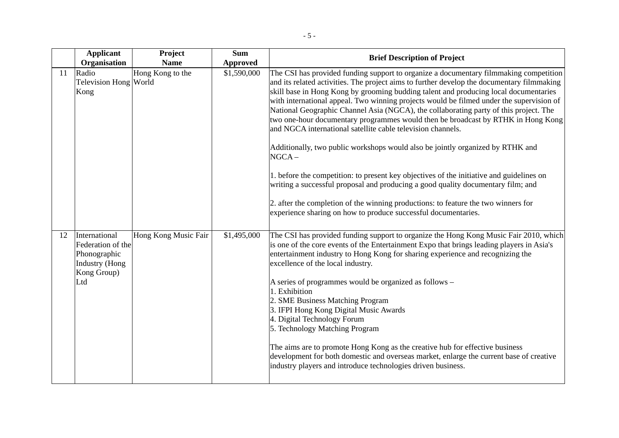|    | <b>Applicant</b><br>Organisation                                                                  | Project<br><b>Name</b> | <b>Sum</b><br><b>Approved</b> | <b>Brief Description of Project</b>                                                                                                                                                                                                                                                                                                                                                                                                                                                                                                                                                                                                                                                                                                                                                                                                                                                                                                                                                                                                                       |
|----|---------------------------------------------------------------------------------------------------|------------------------|-------------------------------|-----------------------------------------------------------------------------------------------------------------------------------------------------------------------------------------------------------------------------------------------------------------------------------------------------------------------------------------------------------------------------------------------------------------------------------------------------------------------------------------------------------------------------------------------------------------------------------------------------------------------------------------------------------------------------------------------------------------------------------------------------------------------------------------------------------------------------------------------------------------------------------------------------------------------------------------------------------------------------------------------------------------------------------------------------------|
| 11 | Radio<br>Television Hong World<br>Kong                                                            | Hong Kong to the       | \$1,590,000                   | The CSI has provided funding support to organize a documentary filmmaking competition<br>and its related activities. The project aims to further develop the documentary filmmaking<br>skill base in Hong Kong by grooming budding talent and producing local documentaries<br>with international appeal. Two winning projects would be filmed under the supervision of<br>National Geographic Channel Asia (NGCA), the collaborating party of this project. The<br>two one-hour documentary programmes would then be broadcast by RTHK in Hong Kong<br>and NGCA international satellite cable television channels.<br>Additionally, two public workshops would also be jointly organized by RTHK and<br>$NGCA -$<br>1. before the competition: to present key objectives of the initiative and guidelines on<br>writing a successful proposal and producing a good quality documentary film; and<br>2. after the completion of the winning productions: to feature the two winners for<br>experience sharing on how to produce successful documentaries. |
| 12 | International<br>Federation of the<br>Phonographic<br><b>Industry</b> (Hong<br>Kong Group)<br>Ltd | Hong Kong Music Fair   | \$1,495,000                   | The CSI has provided funding support to organize the Hong Kong Music Fair 2010, which<br>is one of the core events of the Entertainment Expo that brings leading players in Asia's<br>entertainment industry to Hong Kong for sharing experience and recognizing the<br>excellence of the local industry.<br>A series of programmes would be organized as follows -<br>1. Exhibition<br>2. SME Business Matching Program<br>3. IFPI Hong Kong Digital Music Awards<br>4. Digital Technology Forum<br>5. Technology Matching Program<br>The aims are to promote Hong Kong as the creative hub for effective business<br>development for both domestic and overseas market, enlarge the current base of creative<br>industry players and introduce technologies driven business.                                                                                                                                                                                                                                                                            |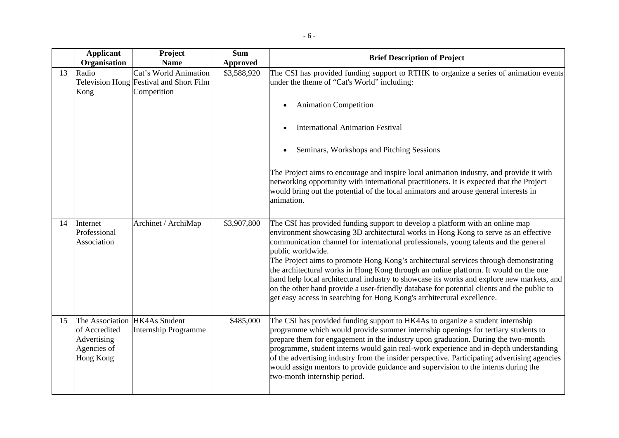|    | <b>Applicant</b><br>Organisation                                                                 | Project<br><b>Name</b>                                                          | <b>Sum</b><br><b>Approved</b> | <b>Brief Description of Project</b>                                                                                                                                                                                                                                                                                                                                                                                                                                                                                                                                                                                                                                                                                                    |
|----|--------------------------------------------------------------------------------------------------|---------------------------------------------------------------------------------|-------------------------------|----------------------------------------------------------------------------------------------------------------------------------------------------------------------------------------------------------------------------------------------------------------------------------------------------------------------------------------------------------------------------------------------------------------------------------------------------------------------------------------------------------------------------------------------------------------------------------------------------------------------------------------------------------------------------------------------------------------------------------------|
| 13 | Radio<br>Kong                                                                                    | Cat's World Animation<br>Television Hong Festival and Short Film<br>Competition | \$3,588,920                   | The CSI has provided funding support to RTHK to organize a series of animation events<br>under the theme of "Cat's World" including:                                                                                                                                                                                                                                                                                                                                                                                                                                                                                                                                                                                                   |
|    |                                                                                                  |                                                                                 |                               | <b>Animation Competition</b>                                                                                                                                                                                                                                                                                                                                                                                                                                                                                                                                                                                                                                                                                                           |
|    |                                                                                                  |                                                                                 |                               | <b>International Animation Festival</b>                                                                                                                                                                                                                                                                                                                                                                                                                                                                                                                                                                                                                                                                                                |
|    |                                                                                                  |                                                                                 |                               | Seminars, Workshops and Pitching Sessions                                                                                                                                                                                                                                                                                                                                                                                                                                                                                                                                                                                                                                                                                              |
|    |                                                                                                  |                                                                                 |                               | The Project aims to encourage and inspire local animation industry, and provide it with<br>networking opportunity with international practitioners. It is expected that the Project<br>would bring out the potential of the local animators and arouse general interests in<br>animation.                                                                                                                                                                                                                                                                                                                                                                                                                                              |
| 14 | Internet<br>Professional<br>Association                                                          | Archinet / ArchiMap                                                             | \$3,907,800                   | The CSI has provided funding support to develop a platform with an online map<br>environment showcasing 3D architectural works in Hong Kong to serve as an effective<br>communication channel for international professionals, young talents and the general<br>public worldwide.<br>The Project aims to promote Hong Kong's architectural services through demonstrating<br>the architectural works in Hong Kong through an online platform. It would on the one<br>hand help local architectural industry to showcase its works and explore new markets, and<br>on the other hand provide a user-friendly database for potential clients and the public to<br>get easy access in searching for Hong Kong's architectural excellence. |
| 15 | The Association HK4As Student<br>of Accredited<br>Advertising<br>Agencies of<br><b>Hong Kong</b> | <b>Internship Programme</b>                                                     | \$485,000                     | The CSI has provided funding support to HK4As to organize a student internship<br>programme which would provide summer internship openings for tertiary students to<br>prepare them for engagement in the industry upon graduation. During the two-month<br>programme, student interns would gain real-work experience and in-depth understanding<br>of the advertising industry from the insider perspective. Participating advertising agencies<br>would assign mentors to provide guidance and supervision to the interns during the<br>two-month internship period.                                                                                                                                                                |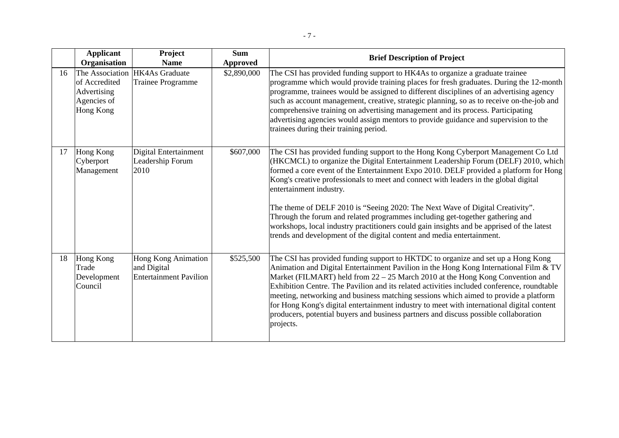|    | <b>Applicant</b><br>Organisation                         | <b>Project</b><br><b>Name</b>                                              | <b>Sum</b><br><b>Approved</b> | <b>Brief Description of Project</b>                                                                                                                                                                                                                                                                                                                                                                                                                                                                                                                                                                                                                                                                                          |
|----|----------------------------------------------------------|----------------------------------------------------------------------------|-------------------------------|------------------------------------------------------------------------------------------------------------------------------------------------------------------------------------------------------------------------------------------------------------------------------------------------------------------------------------------------------------------------------------------------------------------------------------------------------------------------------------------------------------------------------------------------------------------------------------------------------------------------------------------------------------------------------------------------------------------------------|
| 16 | of Accredited<br>Advertising<br>Agencies of<br>Hong Kong | The Association HK4As Graduate<br><b>Trainee Programme</b>                 | \$2,890,000                   | The CSI has provided funding support to HK4As to organize a graduate trainee<br>programme which would provide training places for fresh graduates. During the 12-month<br>programme, trainees would be assigned to different disciplines of an advertising agency<br>such as account management, creative, strategic planning, so as to receive on-the-job and<br>comprehensive training on advertising management and its process. Participating<br>advertising agencies would assign mentors to provide guidance and supervision to the<br>trainees during their training period.                                                                                                                                          |
| 17 | Hong Kong<br>Cyberport<br>Management                     | Digital Entertainment<br>Leadership Forum<br>2010                          | \$607,000                     | The CSI has provided funding support to the Hong Kong Cyberport Management Co Ltd<br>(HKCMCL) to organize the Digital Entertainment Leadership Forum (DELF) 2010, which<br>formed a core event of the Entertainment Expo 2010. DELF provided a platform for Hong<br>Kong's creative professionals to meet and connect with leaders in the global digital<br>entertainment industry.<br>The theme of DELF 2010 is "Seeing 2020: The Next Wave of Digital Creativity".<br>Through the forum and related programmes including get-together gathering and<br>workshops, local industry practitioners could gain insights and be apprised of the latest<br>trends and development of the digital content and media entertainment. |
| 18 | Hong Kong<br>Trade<br>Development<br>Council             | <b>Hong Kong Animation</b><br>and Digital<br><b>Entertainment Pavilion</b> | \$525,500                     | The CSI has provided funding support to HKTDC to organize and set up a Hong Kong<br>Animation and Digital Entertainment Pavilion in the Hong Kong International Film & TV<br>Market (FILMART) held from 22 - 25 March 2010 at the Hong Kong Convention and<br>Exhibition Centre. The Pavilion and its related activities included conference, roundtable<br>meeting, networking and business matching sessions which aimed to provide a platform<br>for Hong Kong's digital entertainment industry to meet with international digital content<br>producers, potential buyers and business partners and discuss possible collaboration<br>projects.                                                                           |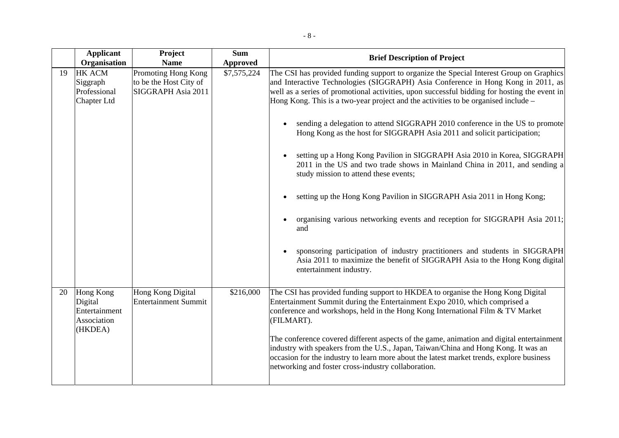|    | <b>Applicant</b><br>Organisation                                | Project<br><b>Name</b>                                              | <b>Sum</b><br><b>Approved</b> | <b>Brief Description of Project</b>                                                                                                                                                                                                                                                                                                                                                                                                                                                                                                                                                                                                                                                                                                                                                                                                                                                                                                                                                                                                                                                     |
|----|-----------------------------------------------------------------|---------------------------------------------------------------------|-------------------------------|-----------------------------------------------------------------------------------------------------------------------------------------------------------------------------------------------------------------------------------------------------------------------------------------------------------------------------------------------------------------------------------------------------------------------------------------------------------------------------------------------------------------------------------------------------------------------------------------------------------------------------------------------------------------------------------------------------------------------------------------------------------------------------------------------------------------------------------------------------------------------------------------------------------------------------------------------------------------------------------------------------------------------------------------------------------------------------------------|
| 19 | <b>HK ACM</b><br>Siggraph<br>Professional<br>Chapter Ltd        | Promoting Hong Kong<br>to be the Host City of<br>SIGGRAPH Asia 2011 | \$7,575,224                   | The CSI has provided funding support to organize the Special Interest Group on Graphics<br>and Interactive Technologies (SIGGRAPH) Asia Conference in Hong Kong in 2011, as<br>well as a series of promotional activities, upon successful bidding for hosting the event in<br>Hong Kong. This is a two-year project and the activities to be organised include –<br>sending a delegation to attend SIGGRAPH 2010 conference in the US to promote<br>Hong Kong as the host for SIGGRAPH Asia 2011 and solicit participation;<br>setting up a Hong Kong Pavilion in SIGGRAPH Asia 2010 in Korea, SIGGRAPH<br>2011 in the US and two trade shows in Mainland China in 2011, and sending a<br>study mission to attend these events;<br>setting up the Hong Kong Pavilion in SIGGRAPH Asia 2011 in Hong Kong;<br>organising various networking events and reception for SIGGRAPH Asia 2011;<br>and<br>sponsoring participation of industry practitioners and students in SIGGRAPH<br>Asia 2011 to maximize the benefit of SIGGRAPH Asia to the Hong Kong digital<br>entertainment industry. |
| 20 | Hong Kong<br>Digital<br>Entertainment<br>Association<br>(HKDEA) | Hong Kong Digital<br><b>Entertainment Summit</b>                    | \$216,000                     | The CSI has provided funding support to HKDEA to organise the Hong Kong Digital<br>Entertainment Summit during the Entertainment Expo 2010, which comprised a<br>conference and workshops, held in the Hong Kong International Film & TV Market<br>(FILMART).<br>The conference covered different aspects of the game, animation and digital entertainment<br>industry with speakers from the U.S., Japan, Taiwan/China and Hong Kong. It was an<br>occasion for the industry to learn more about the latest market trends, explore business<br>networking and foster cross-industry collaboration.                                                                                                                                                                                                                                                                                                                                                                                                                                                                                     |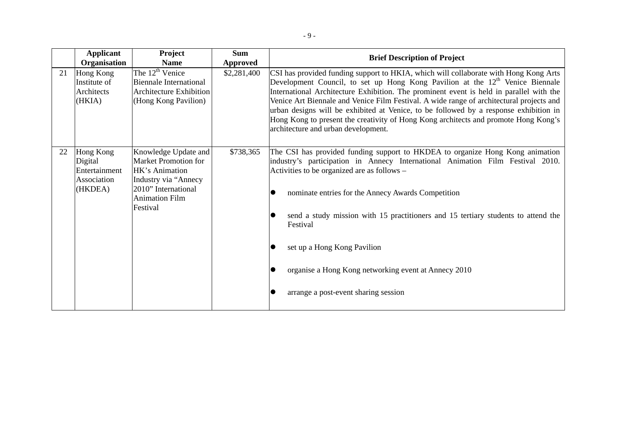|    | <b>Applicant</b><br>Organisation                                | Project<br><b>Name</b>                                                                                                                                    | <b>Sum</b><br><b>Approved</b> | <b>Brief Description of Project</b>                                                                                                                                                                                                                                                                                                                                                                                                                                                                                                                                                   |
|----|-----------------------------------------------------------------|-----------------------------------------------------------------------------------------------------------------------------------------------------------|-------------------------------|---------------------------------------------------------------------------------------------------------------------------------------------------------------------------------------------------------------------------------------------------------------------------------------------------------------------------------------------------------------------------------------------------------------------------------------------------------------------------------------------------------------------------------------------------------------------------------------|
| 21 | Hong Kong<br>Institute of<br>Architects<br>(HKIA)               | The $12^{\text{th}}$ Venice<br>Biennale International<br><b>Architecture Exhibition</b><br>(Hong Kong Pavilion)                                           | \$2,281,400                   | CSI has provided funding support to HKIA, which will collaborate with Hong Kong Arts<br>Development Council, to set up Hong Kong Pavilion at the $12th$ Venice Biennale<br>International Architecture Exhibition. The prominent event is held in parallel with the<br>Venice Art Biennale and Venice Film Festival. A wide range of architectural projects and<br>urban designs will be exhibited at Venice, to be followed by a response exhibition in<br>Hong Kong to present the creativity of Hong Kong architects and promote Hong Kong's<br>architecture and urban development. |
| 22 | Hong Kong<br>Digital<br>Entertainment<br>Association<br>(HKDEA) | Knowledge Update and<br><b>Market Promotion for</b><br>HK's Animation<br>Industry via "Annecy<br>2010" International<br><b>Animation Film</b><br>Festival | \$738,365                     | The CSI has provided funding support to HKDEA to organize Hong Kong animation<br>industry's participation in Annecy International Animation Film Festival 2010.<br>Activities to be organized are as follows –<br>nominate entries for the Annecy Awards Competition<br>send a study mission with 15 practitioners and 15 tertiary students to attend the<br>Festival<br>set up a Hong Kong Pavilion<br>organise a Hong Kong networking event at Annecy 2010<br>arrange a post-event sharing session                                                                                  |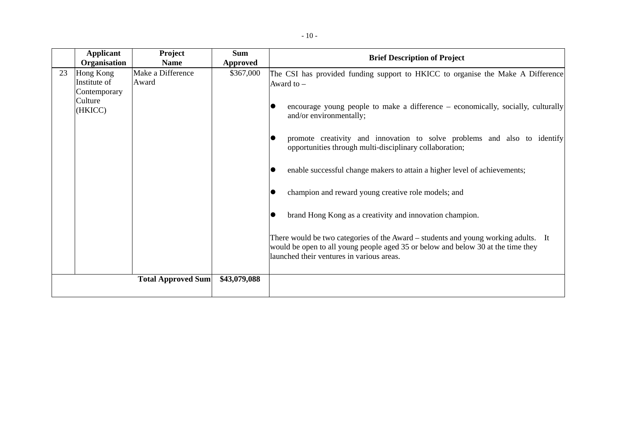|    | <b>Applicant</b><br>Organisation                                | Project<br><b>Name</b>     | <b>Sum</b><br><b>Approved</b> | <b>Brief Description of Project</b>                                                                                                                                                                                                                                                                                                                                                                                                                                                                                                                                                                                                                                                                                                                                          |
|----|-----------------------------------------------------------------|----------------------------|-------------------------------|------------------------------------------------------------------------------------------------------------------------------------------------------------------------------------------------------------------------------------------------------------------------------------------------------------------------------------------------------------------------------------------------------------------------------------------------------------------------------------------------------------------------------------------------------------------------------------------------------------------------------------------------------------------------------------------------------------------------------------------------------------------------------|
| 23 | Hong Kong<br>Institute of<br>Contemporary<br>Culture<br>(HKICC) | Make a Difference<br>Award | \$367,000                     | The CSI has provided funding support to HKICC to organise the Make A Difference<br>Award to $-$<br>encourage young people to make a difference – economically, socially, culturally<br>and/or environmentally;<br>promote creativity and innovation to solve problems and also to identify<br>opportunities through multi-disciplinary collaboration;<br>enable successful change makers to attain a higher level of achievements;<br>champion and reward young creative role models; and<br>brand Hong Kong as a creativity and innovation champion.<br>There would be two categories of the Award – students and young working adults. It<br>would be open to all young people aged 35 or below and below 30 at the time they<br>launched their ventures in various areas. |
|    |                                                                 | <b>Total Approved Sum</b>  | \$43,079,088                  |                                                                                                                                                                                                                                                                                                                                                                                                                                                                                                                                                                                                                                                                                                                                                                              |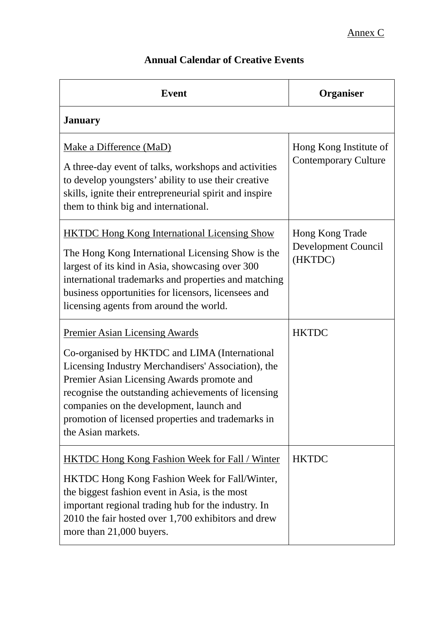# **Annual Calendar of Creative Events**

| <b>Event</b>                                                                                                                                                                                                                                                                                                                                                               | Organiser                                             |
|----------------------------------------------------------------------------------------------------------------------------------------------------------------------------------------------------------------------------------------------------------------------------------------------------------------------------------------------------------------------------|-------------------------------------------------------|
| <b>January</b>                                                                                                                                                                                                                                                                                                                                                             |                                                       |
| Make a Difference (MaD)<br>A three-day event of talks, workshops and activities<br>to develop youngsters' ability to use their creative<br>skills, ignite their entrepreneurial spirit and inspire<br>them to think big and international.                                                                                                                                 | Hong Kong Institute of<br><b>Contemporary Culture</b> |
| <b>HKTDC Hong Kong International Licensing Show</b><br>The Hong Kong International Licensing Show is the<br>largest of its kind in Asia, showcasing over 300<br>international trademarks and properties and matching<br>business opportunities for licensors, licensees and<br>licensing agents from around the world.                                                     | Hong Kong Trade<br>Development Council<br>(HKTDC)     |
| <b>Premier Asian Licensing Awards</b><br>Co-organised by HKTDC and LIMA (International<br>Licensing Industry Merchandisers' Association), the<br>Premier Asian Licensing Awards promote and<br>recognise the outstanding achievements of licensing<br>companies on the development, launch and<br>promotion of licensed properties and trademarks in<br>the Asian markets. | <b>HKTDC</b>                                          |
| <b>HKTDC Hong Kong Fashion Week for Fall / Winter</b><br><b>HKTDC Hong Kong Fashion Week for Fall/Winter,</b><br>the biggest fashion event in Asia, is the most<br>important regional trading hub for the industry. In<br>2010 the fair hosted over 1,700 exhibitors and drew<br>more than 21,000 buyers.                                                                  | <b>HKTDC</b>                                          |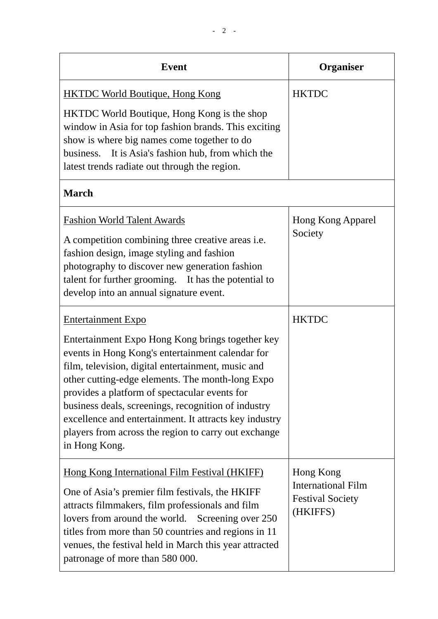| <b>Event</b>                                                                                                                                                                                                                                                                                                                                                                                                                                                                           | Organiser                                                                     |
|----------------------------------------------------------------------------------------------------------------------------------------------------------------------------------------------------------------------------------------------------------------------------------------------------------------------------------------------------------------------------------------------------------------------------------------------------------------------------------------|-------------------------------------------------------------------------------|
| <b>HKTDC World Boutique, Hong Kong</b>                                                                                                                                                                                                                                                                                                                                                                                                                                                 | <b>HKTDC</b>                                                                  |
| HKTDC World Boutique, Hong Kong is the shop<br>window in Asia for top fashion brands. This exciting<br>show is where big names come together to do<br>business. It is Asia's fashion hub, from which the<br>latest trends radiate out through the region.                                                                                                                                                                                                                              |                                                                               |
| <b>March</b>                                                                                                                                                                                                                                                                                                                                                                                                                                                                           |                                                                               |
| <b>Fashion World Talent Awards</b><br>A competition combining three creative areas <i>i.e.</i><br>fashion design, image styling and fashion<br>photography to discover new generation fashion<br>talent for further grooming. It has the potential to<br>develop into an annual signature event.                                                                                                                                                                                       | Hong Kong Apparel<br>Society                                                  |
| <b>Entertainment Expo</b><br>Entertainment Expo Hong Kong brings together key<br>events in Hong Kong's entertainment calendar for<br>film, television, digital entertainment, music and<br>other cutting-edge elements. The month-long Expo<br>provides a platform of spectacular events for<br>business deals, screenings, recognition of industry<br>excellence and entertainment. It attracts key industry<br>players from across the region to carry out exchange<br>in Hong Kong. | <b>HKTDC</b>                                                                  |
| Hong Kong International Film Festival (HKIFF)<br>One of Asia's premier film festivals, the HKIFF<br>attracts filmmakers, film professionals and film<br>lovers from around the world. Screening over 250<br>titles from more than 50 countries and regions in 11<br>venues, the festival held in March this year attracted<br>patronage of more than 580 000.                                                                                                                          | Hong Kong<br><b>International Film</b><br><b>Festival Society</b><br>(HKIFFS) |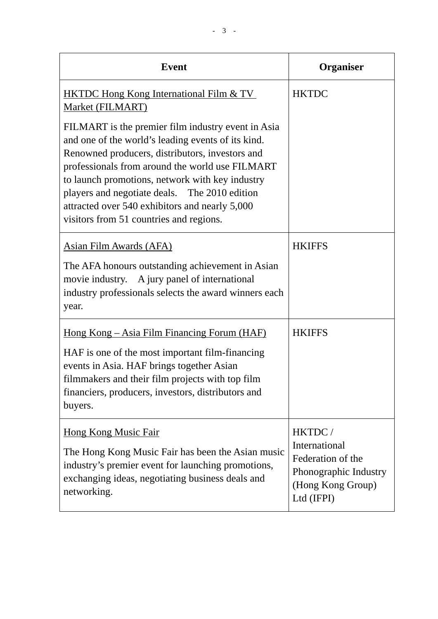| <b>Event</b>                                                                                                                                                                                                                                                                                                                                                                                                    | Organiser                                                                     |
|-----------------------------------------------------------------------------------------------------------------------------------------------------------------------------------------------------------------------------------------------------------------------------------------------------------------------------------------------------------------------------------------------------------------|-------------------------------------------------------------------------------|
| <b>HKTDC Hong Kong International Film &amp; TV</b><br>Market (FILMART)                                                                                                                                                                                                                                                                                                                                          | <b>HKTDC</b>                                                                  |
| FILMART is the premier film industry event in Asia<br>and one of the world's leading events of its kind.<br>Renowned producers, distributors, investors and<br>professionals from around the world use FILMART<br>to launch promotions, network with key industry<br>players and negotiate deals. The 2010 edition<br>attracted over 540 exhibitors and nearly 5,000<br>visitors from 51 countries and regions. |                                                                               |
| <b>Asian Film Awards (AFA)</b>                                                                                                                                                                                                                                                                                                                                                                                  | <b>HKIFFS</b>                                                                 |
| The AFA honours outstanding achievement in Asian<br>movie industry. A jury panel of international<br>industry professionals selects the award winners each<br>year.                                                                                                                                                                                                                                             |                                                                               |
| <u> Hong Kong – Asia Film Financing Forum (HAF)</u>                                                                                                                                                                                                                                                                                                                                                             | <b>HKIFFS</b>                                                                 |
| HAF is one of the most important film-financing<br>events in Asia. HAF brings together Asian<br>filmmakers and their film projects with top film<br>financiers, producers, investors, distributors and<br>buyers.                                                                                                                                                                                               |                                                                               |
| <b>Hong Kong Music Fair</b>                                                                                                                                                                                                                                                                                                                                                                                     | HKTDC/<br>International                                                       |
| The Hong Kong Music Fair has been the Asian music<br>industry's premier event for launching promotions,<br>exchanging ideas, negotiating business deals and<br>networking.                                                                                                                                                                                                                                      | Federation of the<br>Phonographic Industry<br>(Hong Kong Group)<br>Ltd (IFPI) |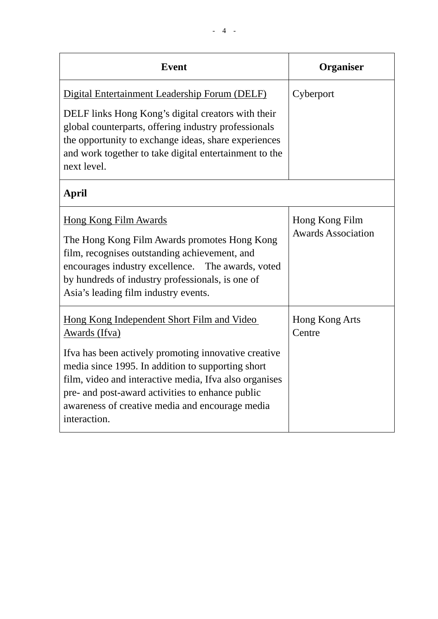| <b>Event</b>                                                                                                                                                                                                                                                                                 | Organiser                                   |
|----------------------------------------------------------------------------------------------------------------------------------------------------------------------------------------------------------------------------------------------------------------------------------------------|---------------------------------------------|
| Digital Entertainment Leadership Forum (DELF)<br>DELF links Hong Kong's digital creators with their<br>global counterparts, offering industry professionals<br>the opportunity to exchange ideas, share experiences<br>and work together to take digital entertainment to the<br>next level. | Cyberport                                   |
| April                                                                                                                                                                                                                                                                                        |                                             |
| Hong Kong Film Awards<br>The Hong Kong Film Awards promotes Hong Kong<br>film, recognises outstanding achievement, and<br>encourages industry excellence. The awards, voted<br>by hundreds of industry professionals, is one of<br>Asia's leading film industry events.                      | Hong Kong Film<br><b>Awards Association</b> |
| Hong Kong Independent Short Film and Video<br>Awards (Ifva)<br>If va has been actively promoting innovative creative<br>media since 1995. In addition to supporting short<br>film, video and interactive media, Ifva also organises<br>pre- and post-award activities to enhance public      | Hong Kong Arts<br>Centre                    |
| awareness of creative media and encourage media<br>interaction.                                                                                                                                                                                                                              |                                             |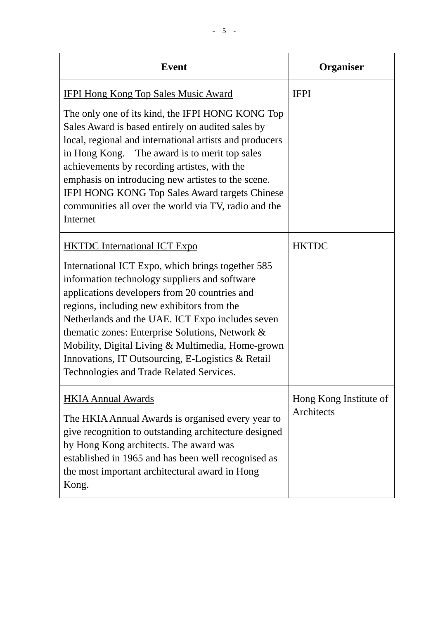| <b>Event</b>                                                                                                                                                                                                                                                                                                                                                                                                                                                   | Organiser                            |
|----------------------------------------------------------------------------------------------------------------------------------------------------------------------------------------------------------------------------------------------------------------------------------------------------------------------------------------------------------------------------------------------------------------------------------------------------------------|--------------------------------------|
| <b>IFPI Hong Kong Top Sales Music Award</b>                                                                                                                                                                                                                                                                                                                                                                                                                    | <b>IFPI</b>                          |
| The only one of its kind, the IFPI HONG KONG Top<br>Sales Award is based entirely on audited sales by<br>local, regional and international artists and producers<br>in Hong Kong. The award is to merit top sales<br>achievements by recording artistes, with the<br>emphasis on introducing new artistes to the scene.<br><b>IFPI HONG KONG Top Sales Award targets Chinese</b><br>communities all over the world via TV, radio and the<br>Internet           |                                      |
| <b>HKTDC</b> International ICT Expo                                                                                                                                                                                                                                                                                                                                                                                                                            | <b>HKTDC</b>                         |
| International ICT Expo, which brings together 585<br>information technology suppliers and software<br>applications developers from 20 countries and<br>regions, including new exhibitors from the<br>Netherlands and the UAE. ICT Expo includes seven<br>thematic zones: Enterprise Solutions, Network &<br>Mobility, Digital Living & Multimedia, Home-grown<br>Innovations, IT Outsourcing, E-Logistics & Retail<br>Technologies and Trade Related Services. |                                      |
| <b>HKIA Annual Awards</b><br>The HKIA Annual Awards is organised every year to<br>give recognition to outstanding architecture designed<br>by Hong Kong architects. The award was<br>established in 1965 and has been well recognised as<br>the most important architectural award in Hong<br>Kong.                                                                                                                                                            | Hong Kong Institute of<br>Architects |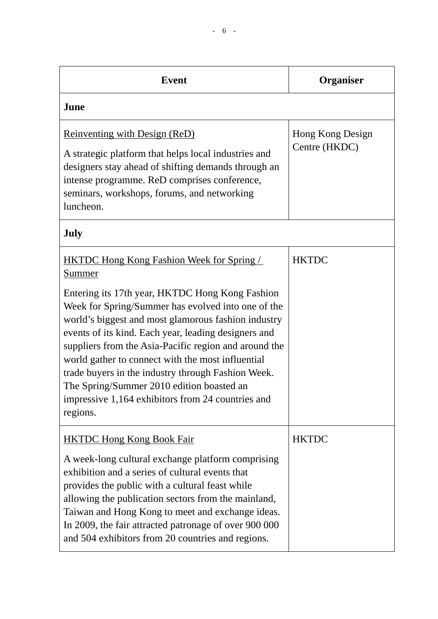| <b>Event</b>                                                                                                                                                                                                                                                                                                                                                                                                                                                                                           | <b>Organiser</b>                  |
|--------------------------------------------------------------------------------------------------------------------------------------------------------------------------------------------------------------------------------------------------------------------------------------------------------------------------------------------------------------------------------------------------------------------------------------------------------------------------------------------------------|-----------------------------------|
| June                                                                                                                                                                                                                                                                                                                                                                                                                                                                                                   |                                   |
| <b>Reinventing with Design (ReD)</b><br>A strategic platform that helps local industries and<br>designers stay ahead of shifting demands through an<br>intense programme. ReD comprises conference,<br>seminars, workshops, forums, and networking<br>luncheon.                                                                                                                                                                                                                                        | Hong Kong Design<br>Centre (HKDC) |
| July                                                                                                                                                                                                                                                                                                                                                                                                                                                                                                   |                                   |
| <b>HKTDC Hong Kong Fashion Week for Spring</b><br>Summer                                                                                                                                                                                                                                                                                                                                                                                                                                               | <b>HKTDC</b>                      |
| Entering its 17th year, HKTDC Hong Kong Fashion<br>Week for Spring/Summer has evolved into one of the<br>world's biggest and most glamorous fashion industry<br>events of its kind. Each year, leading designers and<br>suppliers from the Asia-Pacific region and around the<br>world gather to connect with the most influential<br>trade buyers in the industry through Fashion Week.<br>The Spring/Summer 2010 edition boasted an<br>impressive 1,164 exhibitors from 24 countries and<br>regions. |                                   |
| <b>HKTDC Hong Kong Book Fair</b>                                                                                                                                                                                                                                                                                                                                                                                                                                                                       | <b>HKTDC</b>                      |
| A week-long cultural exchange platform comprising<br>exhibition and a series of cultural events that<br>provides the public with a cultural feast while<br>allowing the publication sectors from the mainland,<br>Taiwan and Hong Kong to meet and exchange ideas.<br>In 2009, the fair attracted patronage of over 900 000<br>and 504 exhibitors from 20 countries and regions.                                                                                                                       |                                   |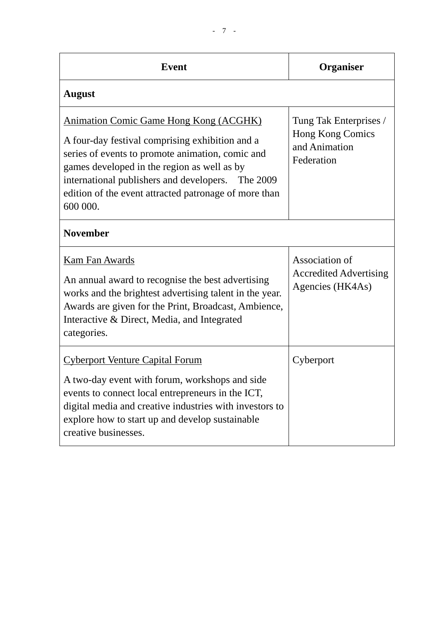| <b>Event</b>                                                                                                                                                                                                                                                                                                                  | <b>Organiser</b>                                                          |
|-------------------------------------------------------------------------------------------------------------------------------------------------------------------------------------------------------------------------------------------------------------------------------------------------------------------------------|---------------------------------------------------------------------------|
| <b>August</b>                                                                                                                                                                                                                                                                                                                 |                                                                           |
| <b>Animation Comic Game Hong Kong (ACGHK)</b><br>A four-day festival comprising exhibition and a<br>series of events to promote animation, comic and<br>games developed in the region as well as by<br>international publishers and developers. The 2009<br>edition of the event attracted patronage of more than<br>600 000. | Tung Tak Enterprises /<br>Hong Kong Comics<br>and Animation<br>Federation |
| <b>November</b>                                                                                                                                                                                                                                                                                                               |                                                                           |
| <b>Kam Fan Awards</b><br>An annual award to recognise the best advertising<br>works and the brightest advertising talent in the year.<br>Awards are given for the Print, Broadcast, Ambience,<br>Interactive & Direct, Media, and Integrated<br>categories.                                                                   | Association of<br><b>Accredited Advertising</b><br>Agencies (HK4As)       |
| <b>Cyberport Venture Capital Forum</b><br>A two-day event with forum, workshops and side<br>events to connect local entrepreneurs in the ICT,<br>digital media and creative industries with investors to<br>explore how to start up and develop sustainable<br>creative businesses.                                           | Cyberport                                                                 |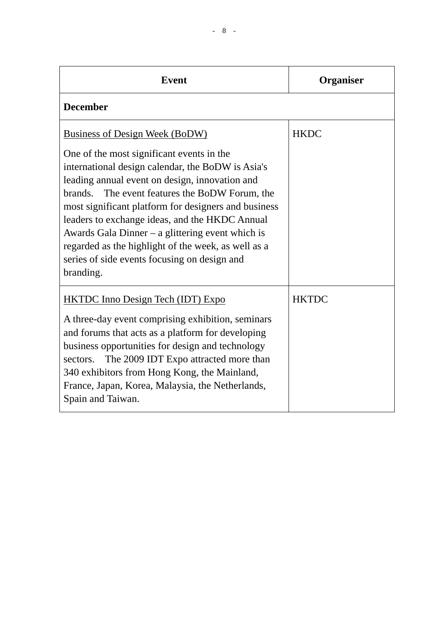| <b>Event</b>                                                                                                                                                                                                                                                                                                                                                                                                                                                                                                              | Organiser    |  |
|---------------------------------------------------------------------------------------------------------------------------------------------------------------------------------------------------------------------------------------------------------------------------------------------------------------------------------------------------------------------------------------------------------------------------------------------------------------------------------------------------------------------------|--------------|--|
| <b>December</b>                                                                                                                                                                                                                                                                                                                                                                                                                                                                                                           |              |  |
| Business of Design Week (BoDW)<br>One of the most significant events in the<br>international design calendar, the BoDW is Asia's<br>leading annual event on design, innovation and<br>brands.<br>The event features the BoDW Forum, the<br>most significant platform for designers and business<br>leaders to exchange ideas, and the HKDC Annual<br>Awards Gala Dinner – a glittering event which is<br>regarded as the highlight of the week, as well as a<br>series of side events focusing on design and<br>branding. | <b>HKDC</b>  |  |
| <b>HKTDC</b> Inno Design Tech (IDT) Expo<br>A three-day event comprising exhibition, seminars<br>and forums that acts as a platform for developing<br>business opportunities for design and technology<br>The 2009 IDT Expo attracted more than<br>sectors.<br>340 exhibitors from Hong Kong, the Mainland,<br>France, Japan, Korea, Malaysia, the Netherlands,<br>Spain and Taiwan.                                                                                                                                      | <b>HKTDC</b> |  |